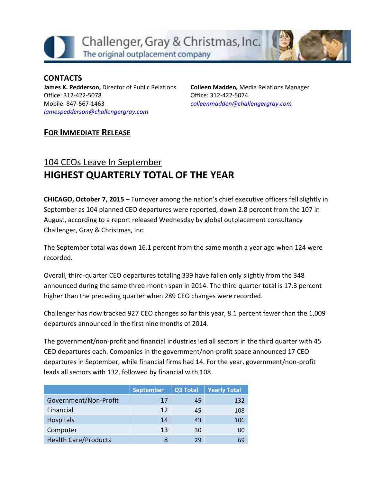Challenger, Gray & Christmas, Inc. The original outplacement company



#### **CONTACTS**

**James K. Pedderson,** Director of Public Relations Office: 312-422-5078 Mobile: 847-567-1463 *[jamespedderson@challengergray.com](mailto:jamespedderson@challengergray.com)*

**Colleen Madden,** Media Relations Manager Office: 312-422-5074 *[colleenmadden@challengergray.com](mailto:colleenmadden@challengergray.com)*

## **FOR IMMEDIATE RELEASE**

# 104 CEOs Leave In September **HIGHEST QUARTERLY TOTAL OF THE YEAR**

**CHICAGO, October 7, 2015** – Turnover among the nation's chief executive officers fell slightly in September as 104 planned CEO departures were reported, down 2.8 percent from the 107 in August, according to a report released Wednesday by global outplacement consultancy Challenger, Gray & Christmas, Inc.

The September total was down 16.1 percent from the same month a year ago when 124 were recorded.

Overall, third-quarter CEO departures totaling 339 have fallen only slightly from the 348 announced during the same three-month span in 2014. The third quarter total is 17.3 percent higher than the preceding quarter when 289 CEO changes were recorded.

Challenger has now tracked 927 CEO changes so far this year, 8.1 percent fewer than the 1,009 departures announced in the first nine months of 2014.

The government/non-profit and financial industries led all sectors in the third quarter with 45 CEO departures each. Companies in the government/non-profit space announced 17 CEO departures in September, while financial firms had 14. For the year, government/non-profit leads all sectors with 132, followed by financial with 108.

|                             | <b>September</b> | <b>Q3 Total</b> | <b>Yearly Total</b> |
|-----------------------------|------------------|-----------------|---------------------|
| Government/Non-Profit       | 17               | 45              | 132                 |
| Financial                   | 12               | 45              | 108                 |
| <b>Hospitals</b>            | 14               | 43              | 106                 |
| Computer                    | 13               | 30              | 80                  |
| <b>Health Care/Products</b> | 8                | 29              | 69                  |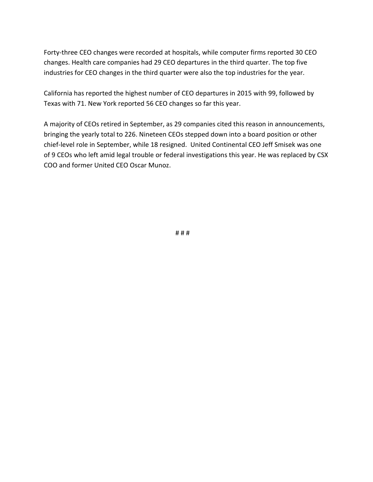Forty-three CEO changes were recorded at hospitals, while computer firms reported 30 CEO changes. Health care companies had 29 CEO departures in the third quarter. The top five industries for CEO changes in the third quarter were also the top industries for the year.

California has reported the highest number of CEO departures in 2015 with 99, followed by Texas with 71. New York reported 56 CEO changes so far this year.

A majority of CEOs retired in September, as 29 companies cited this reason in announcements, bringing the yearly total to 226. Nineteen CEOs stepped down into a board position or other chief-level role in September, while 18 resigned. United Continental CEO Jeff Smisek was one of 9 CEOs who left amid legal trouble or federal investigations this year. He was replaced by CSX COO and former United CEO Oscar Munoz.

# # #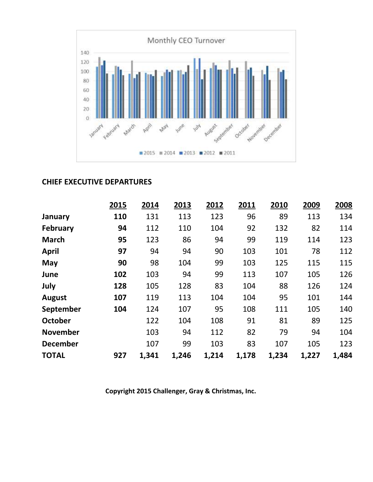

#### **CHIEF EXECUTIVE DEPARTURES**

|                 | 2015 | 2014  | 2013  | 2012  | 2011  | 2010  | 2009  | 2008  |
|-----------------|------|-------|-------|-------|-------|-------|-------|-------|
| January         | 110  | 131   | 113   | 123   | 96    | 89    | 113   | 134   |
| <b>February</b> | 94   | 112   | 110   | 104   | 92    | 132   | 82    | 114   |
| <b>March</b>    | 95   | 123   | 86    | 94    | 99    | 119   | 114   | 123   |
| <b>April</b>    | 97   | 94    | 94    | 90    | 103   | 101   | 78    | 112   |
| May             | 90   | 98    | 104   | 99    | 103   | 125   | 115   | 115   |
| June            | 102  | 103   | 94    | 99    | 113   | 107   | 105   | 126   |
| July            | 128  | 105   | 128   | 83    | 104   | 88    | 126   | 124   |
| <b>August</b>   | 107  | 119   | 113   | 104   | 104   | 95    | 101   | 144   |
| September       | 104  | 124   | 107   | 95    | 108   | 111   | 105   | 140   |
| <b>October</b>  |      | 122   | 104   | 108   | 91    | 81    | 89    | 125   |
| <b>November</b> |      | 103   | 94    | 112   | 82    | 79    | 94    | 104   |
| <b>December</b> |      | 107   | 99    | 103   | 83    | 107   | 105   | 123   |
| <b>TOTAL</b>    | 927  | 1,341 | 1,246 | 1,214 | 1,178 | 1,234 | 1,227 | 1,484 |

**Copyright 2015 Challenger, Gray & Christmas, Inc.**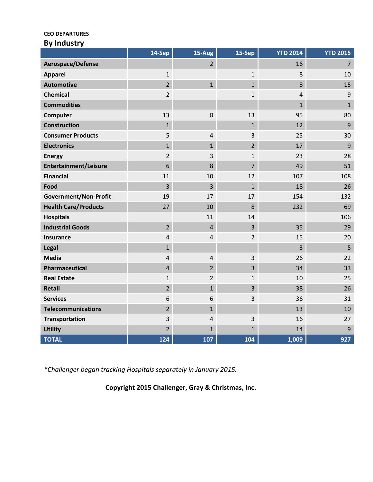#### **CEO DEPARTURES**

|  |  | <b>By Industry</b> |
|--|--|--------------------|
|--|--|--------------------|

|                              | 14-Sep         | $15-Aug$       | $15-Sep$       | <b>YTD 2014</b> | <b>YTD 2015</b> |
|------------------------------|----------------|----------------|----------------|-----------------|-----------------|
| Aerospace/Defense            |                | $\overline{2}$ |                | 16              | $\overline{7}$  |
| <b>Apparel</b>               | $\mathbf{1}$   |                | $\mathbf{1}$   | 8               | 10              |
| <b>Automotive</b>            | $\overline{2}$ | $\mathbf{1}$   | $\mathbf{1}$   | 8               | 15              |
| <b>Chemical</b>              | $\overline{2}$ |                | $\mathbf{1}$   | $\sqrt{4}$      | $9\,$           |
| <b>Commodities</b>           |                |                |                | $\mathbf{1}$    | $\mathbf{1}$    |
| Computer                     | 13             | 8              | 13             | 95              | 80              |
| <b>Construction</b>          | $\mathbf{1}$   |                | $\mathbf{1}$   | 12              | 9               |
| <b>Consumer Products</b>     | 5              | 4              | 3              | 25              | 30              |
| <b>Electronics</b>           | $\mathbf{1}$   | $\mathbf{1}$   | $\overline{2}$ | 17              | 9               |
| <b>Energy</b>                | $\overline{2}$ | 3              | $\mathbf{1}$   | 23              | 28              |
| <b>Entertainment/Leisure</b> | 6              | 8              | $\overline{7}$ | 49              | 51              |
| <b>Financial</b>             | 11             | 10             | 12             | 107             | 108             |
| Food                         | 3              | $\overline{3}$ | $\mathbf{1}$   | 18              | 26              |
| <b>Government/Non-Profit</b> | 19             | 17             | 17             | 154             | 132             |
| <b>Health Care/Products</b>  | 27             | 10             | 8              | 232             | 69              |
| <b>Hospitals</b>             |                | 11             | 14             |                 | 106             |
| <b>Industrial Goods</b>      | $\overline{2}$ | $\overline{4}$ | $\overline{3}$ | 35              | 29              |
| <b>Insurance</b>             | $\overline{4}$ | $\overline{4}$ | $\overline{2}$ | 15              | 20              |
| Legal                        | $\mathbf{1}$   |                |                | 3               | 5               |
| <b>Media</b>                 | $\overline{4}$ | 4              | 3              | 26              | 22              |
| Pharmaceutical               | $\overline{4}$ | $\overline{2}$ | 3              | 34              | 33              |
| <b>Real Estate</b>           | $\mathbf{1}$   | $\overline{2}$ | $\mathbf{1}$   | 10              | 25              |
| Retail                       | $\overline{2}$ | $\mathbf{1}$   | 3              | 38              | 26              |
| <b>Services</b>              | 6              | 6              | 3              | 36              | 31              |
| <b>Telecommunications</b>    | $\overline{2}$ | $\mathbf{1}$   |                | 13              | 10              |
| <b>Transportation</b>        | $\mathbf{3}$   | $\sqrt{4}$     | 3              | 16              | 27              |
| <b>Utility</b>               | $\overline{2}$ | $\mathbf{1}$   | $\mathbf{1}$   | 14              | 9               |
| <b>TOTAL</b>                 | 124            | 107            | 104            | 1,009           | 927             |

*\*Challenger began tracking Hospitals separately in January 2015.*

**Copyright 2015 Challenger, Gray & Christmas, Inc.**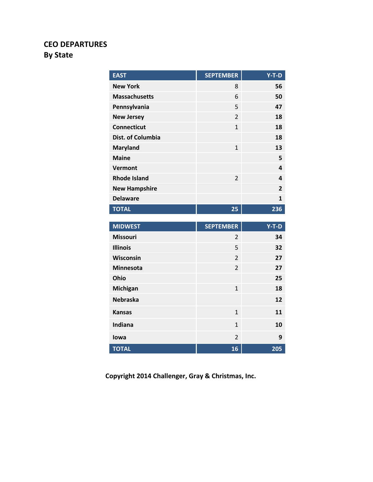# **CEO DEPARTURES By State**

| <b>EAST</b>          | <b>SEPTEMBER</b> | $Y-T-D$        |
|----------------------|------------------|----------------|
| <b>New York</b>      | 8                | 56             |
| <b>Massachusetts</b> | 6                | 50             |
| Pennsylvania         | 5                | 47             |
| <b>New Jersey</b>    | $\overline{2}$   | 18             |
| <b>Connecticut</b>   | $\overline{1}$   | 18             |
| Dist. of Columbia    |                  | 18             |
| <b>Maryland</b>      | $\mathbf{1}$     | 13             |
| <b>Maine</b>         |                  | 5              |
| <b>Vermont</b>       |                  | 4              |
| <b>Rhode Island</b>  | $\overline{2}$   | 4              |
| <b>New Hampshire</b> |                  | $\overline{2}$ |
| <b>Delaware</b>      |                  | $\mathbf{1}$   |
| <b>TOTAL</b>         | 25               | 236            |
|                      |                  |                |
|                      |                  |                |
| <b>MIDWEST</b>       | <b>SEPTEMBER</b> | $Y-T-D$        |
| <b>Missouri</b>      | $\overline{2}$   | 34             |
| <b>Illinois</b>      | 5                | 32             |
| Wisconsin            | $\overline{2}$   | 27             |
| <b>Minnesota</b>     | $\overline{2}$   | 27             |
| Ohio                 |                  | 25             |
| <b>Michigan</b>      | $\mathbf{1}$     | 18             |
| <b>Nebraska</b>      |                  | 12             |
| <b>Kansas</b>        | $\overline{1}$   | 11             |
| <b>Indiana</b>       | $\mathbf{1}$     | 10             |
| lowa                 | $\overline{2}$   | 9              |

**Copyright 2014 Challenger, Gray & Christmas, Inc.**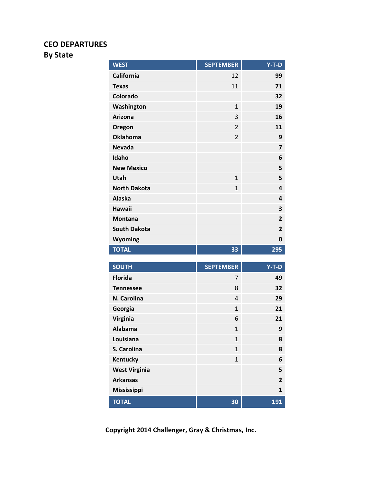#### **CEO DEPARTURES**

## **By State**

| <b>WEST</b>          | <b>SEPTEMBER</b> | $Y-T-D$                 |
|----------------------|------------------|-------------------------|
| <b>California</b>    | 12               | 99                      |
| <b>Texas</b>         | 11               | 71                      |
| Colorado             |                  | 32                      |
| Washington           | $\mathbf{1}$     | 19                      |
| <b>Arizona</b>       | 3                | 16                      |
| Oregon               | $\overline{2}$   | 11                      |
| <b>Oklahoma</b>      | $\overline{2}$   | 9                       |
| <b>Nevada</b>        |                  | 7                       |
| Idaho                |                  | 6                       |
| <b>New Mexico</b>    |                  | 5                       |
| Utah                 | $\mathbf{1}$     | 5                       |
| <b>North Dakota</b>  | $\overline{1}$   | 4                       |
| <b>Alaska</b>        |                  | 4                       |
| <b>Hawaii</b>        |                  | 3                       |
| <b>Montana</b>       |                  | $\overline{2}$          |
| <b>South Dakota</b>  |                  | $\overline{2}$          |
| Wyoming              |                  | 0                       |
| <b>TOTAL</b>         | 33               | 295                     |
|                      |                  |                         |
| <b>SOUTH</b>         | <b>SEPTEMBER</b> | $Y-T-D$                 |
| <b>Florida</b>       | 7                | 49                      |
| <b>Tennessee</b>     | 8                | 32                      |
| N. Carolina          | $\overline{4}$   | 29                      |
| Georgia              | $\mathbf{1}$     | 21                      |
| Virginia             | 6                | 21                      |
| <b>Alabama</b>       | 1                | 9                       |
| Louisiana            | $\mathbf{1}$     | 8                       |
| S. Carolina          | $\overline{1}$   | 8                       |
| <b>Kentucky</b>      | $\mathbf{1}$     | 6                       |
| <b>West Virginia</b> |                  | 5                       |
| <b>Arkansas</b>      |                  | $\overline{\mathbf{2}}$ |
| <b>Mississippi</b>   |                  | $\mathbf{1}$            |
| <b>TOTAL</b>         | 30               | 191                     |

**Copyright 2014 Challenger, Gray & Christmas, Inc.**